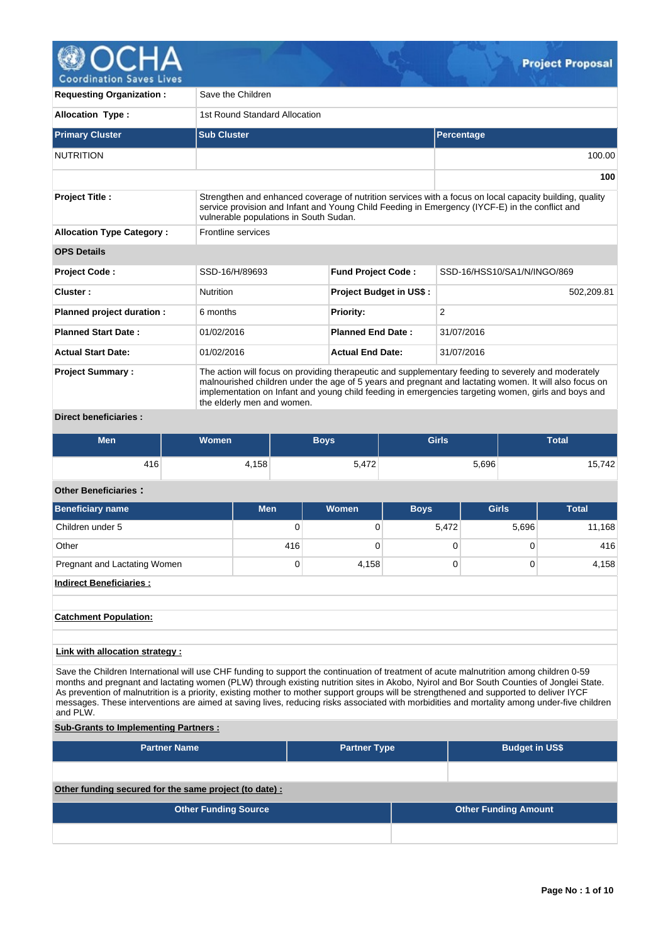

| <b>Requesting Organization:</b>                                                                                                                                                                                                                                              | Save the Children                                                                                                                                                                                                                                                                                                                                  |                                |                             |  |  |  |  |  |  |  |  |
|------------------------------------------------------------------------------------------------------------------------------------------------------------------------------------------------------------------------------------------------------------------------------|----------------------------------------------------------------------------------------------------------------------------------------------------------------------------------------------------------------------------------------------------------------------------------------------------------------------------------------------------|--------------------------------|-----------------------------|--|--|--|--|--|--|--|--|
| <b>Allocation Type:</b>                                                                                                                                                                                                                                                      | 1st Round Standard Allocation                                                                                                                                                                                                                                                                                                                      |                                |                             |  |  |  |  |  |  |  |  |
| <b>Primary Cluster</b>                                                                                                                                                                                                                                                       | <b>Sub Cluster</b>                                                                                                                                                                                                                                                                                                                                 |                                | Percentage                  |  |  |  |  |  |  |  |  |
| <b>NUTRITION</b>                                                                                                                                                                                                                                                             |                                                                                                                                                                                                                                                                                                                                                    |                                | 100.00                      |  |  |  |  |  |  |  |  |
|                                                                                                                                                                                                                                                                              |                                                                                                                                                                                                                                                                                                                                                    |                                | 100                         |  |  |  |  |  |  |  |  |
| Strengthen and enhanced coverage of nutrition services with a focus on local capacity building, quality<br><b>Project Title:</b><br>service provision and Infant and Young Child Feeding in Emergency (IYCF-E) in the conflict and<br>vulnerable populations in South Sudan. |                                                                                                                                                                                                                                                                                                                                                    |                                |                             |  |  |  |  |  |  |  |  |
| <b>Allocation Type Category:</b>                                                                                                                                                                                                                                             | Frontline services                                                                                                                                                                                                                                                                                                                                 |                                |                             |  |  |  |  |  |  |  |  |
| <b>OPS Details</b>                                                                                                                                                                                                                                                           |                                                                                                                                                                                                                                                                                                                                                    |                                |                             |  |  |  |  |  |  |  |  |
| Project Code:                                                                                                                                                                                                                                                                | SSD-16/H/89693                                                                                                                                                                                                                                                                                                                                     | <b>Fund Project Code:</b>      | SSD-16/HSS10/SA1/N/INGO/869 |  |  |  |  |  |  |  |  |
| Cluster :                                                                                                                                                                                                                                                                    | <b>Nutrition</b>                                                                                                                                                                                                                                                                                                                                   | <b>Project Budget in US\$:</b> | 502.209.81                  |  |  |  |  |  |  |  |  |
| Planned project duration :                                                                                                                                                                                                                                                   | 6 months                                                                                                                                                                                                                                                                                                                                           | <b>Priority:</b>               | $\overline{2}$              |  |  |  |  |  |  |  |  |
| <b>Planned Start Date:</b>                                                                                                                                                                                                                                                   | 01/02/2016                                                                                                                                                                                                                                                                                                                                         | <b>Planned End Date:</b>       | 31/07/2016                  |  |  |  |  |  |  |  |  |
| <b>Actual Start Date:</b>                                                                                                                                                                                                                                                    | 01/02/2016                                                                                                                                                                                                                                                                                                                                         | <b>Actual End Date:</b>        | 31/07/2016                  |  |  |  |  |  |  |  |  |
| <b>Project Summary:</b>                                                                                                                                                                                                                                                      | The action will focus on providing therapeutic and supplementary feeding to severely and moderately<br>malnourished children under the age of 5 years and pregnant and lactating women. It will also focus on<br>implementation on Infant and young child feeding in emergencies targeting women, girls and boys and<br>the elderly men and women. |                                |                             |  |  |  |  |  |  |  |  |

## **Direct beneficiaries :**

| Men | Women <sup>'</sup> | <b>Boys</b> | <b>Girls</b> | <b>Total</b> |  |  |
|-----|--------------------|-------------|--------------|--------------|--|--|
| 416 | 4,158              | 5,472       | 5,696        | 15,742       |  |  |

# **Other Beneficiaries :**

| <b>Beneficiary name</b>        | <b>Men</b> | Women | <b>Boys</b> | <b>Girls</b> | <b>Total</b> |
|--------------------------------|------------|-------|-------------|--------------|--------------|
| Children under 5               | 0          |       | 5,472       | 5,696        | 11,168       |
| Other                          | 416        |       | 0           |              | 416          |
| Pregnant and Lactating Women   | 0          | 4,158 | 0           |              | 4,158        |
| <b>Indirect Beneficiaries:</b> |            |       |             |              |              |

## **Catchment Population:**

## **Link with allocation strategy :**

Save the Children International will use CHF funding to support the continuation of treatment of acute malnutrition among children 0-59 months and pregnant and lactating women (PLW) through existing nutrition sites in Akobo, Nyirol and Bor South Counties of Jonglei State. As prevention of malnutrition is a priority, existing mother to mother support groups will be strengthened and supported to deliver IYCF messages. These interventions are aimed at saving lives, reducing risks associated with morbidities and mortality among under-five children and PLW.

## **Sub-Grants to Implementing Partners :**

| <b>Partner Name</b>                                   | <b>Partner Type</b> |  | <b>Budget in US\$</b>       |  |  |  |  |  |
|-------------------------------------------------------|---------------------|--|-----------------------------|--|--|--|--|--|
|                                                       |                     |  |                             |  |  |  |  |  |
| Other funding secured for the same project (to date): |                     |  |                             |  |  |  |  |  |
| <b>Other Funding Source</b>                           |                     |  | <b>Other Funding Amount</b> |  |  |  |  |  |
|                                                       |                     |  |                             |  |  |  |  |  |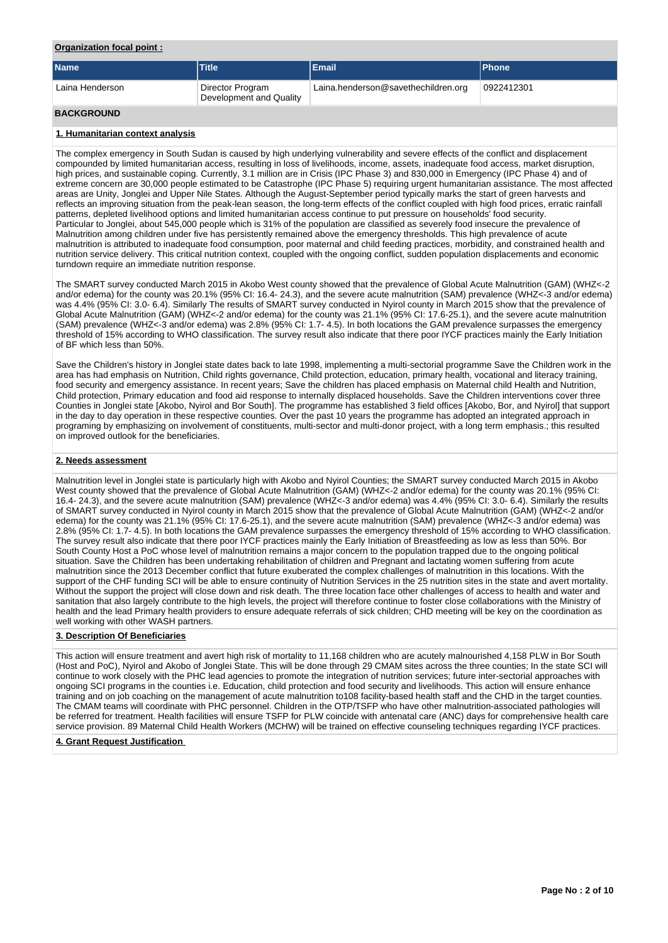## **Organization focal point :**

| <b>Name</b>       | Title                                       | <b>Email</b>                        | <b>IPhone</b> |
|-------------------|---------------------------------------------|-------------------------------------|---------------|
| Laina Henderson   | Director Program<br>Development and Quality | Laina.henderson@savethechildren.org | 0922412301    |
| <b>BACKGROUND</b> |                                             |                                     |               |

## **1. Humanitarian context analysis**

The complex emergency in South Sudan is caused by high underlying vulnerability and severe effects of the conflict and displacement compounded by limited humanitarian access, resulting in loss of livelihoods, income, assets, inadequate food access, market disruption, high prices, and sustainable coping. Currently, 3.1 million are in Crisis (IPC Phase 3) and 830,000 in Emergency (IPC Phase 4) and of extreme concern are 30,000 people estimated to be Catastrophe (IPC Phase 5) requiring urgent humanitarian assistance. The most affected areas are Unity, Jonglei and Upper Nile States. Although the August-September period typically marks the start of green harvests and reflects an improving situation from the peak-lean season, the long-term effects of the conflict coupled with high food prices, erratic rainfall patterns, depleted livelihood options and limited humanitarian access continue to put pressure on households' food security. Particular to Jonglei, about 545,000 people which is 31% of the population are classified as severely food insecure the prevalence of Malnutrition among children under five has persistently remained above the emergency thresholds. This high prevalence of acute malnutrition is attributed to inadequate food consumption, poor maternal and child feeding practices, morbidity, and constrained health and nutrition service delivery. This critical nutrition context, coupled with the ongoing conflict, sudden population displacements and economic turndown require an immediate nutrition response.

The SMART survey conducted March 2015 in Akobo West county showed that the prevalence of Global Acute Malnutrition (GAM) (WHZ<-2 and/or edema) for the county was 20.1% (95% CI: 16.4- 24.3), and the severe acute malnutrition (SAM) prevalence (WHZ<-3 and/or edema) was 4.4% (95% CI: 3.0- 6.4). Similarly The results of SMART survey conducted in Nyirol county in March 2015 show that the prevalence of Global Acute Malnutrition (GAM) (WHZ<-2 and/or edema) for the county was 21.1% (95% CI: 17.6-25.1), and the severe acute malnutrition (SAM) prevalence (WHZ<-3 and/or edema) was 2.8% (95% CI: 1.7- 4.5). In both locations the GAM prevalence surpasses the emergency threshold of 15% according to WHO classification. The survey result also indicate that there poor IYCF practices mainly the Early Initiation of BF which less than 50%.

Save the Children's history in Jonglei state dates back to late 1998, implementing a multi-sectorial programme Save the Children work in the area has had emphasis on Nutrition, Child rights governance, Child protection, education, primary health, vocational and literacy training, food security and emergency assistance. In recent years; Save the children has placed emphasis on Maternal child Health and Nutrition, Child protection, Primary education and food aid response to internally displaced households. Save the Children interventions cover three Counties in Jonglei state [Akobo, Nyirol and Bor South]. The programme has established 3 field offices [Akobo, Bor, and Nyirol] that support in the day to day operation in these respective counties. Over the past 10 years the programme has adopted an integrated approach in programing by emphasizing on involvement of constituents, multi-sector and multi-donor project, with a long term emphasis.; this resulted on improved outlook for the beneficiaries.

## **2. Needs assessment**

Malnutrition level in Jonglei state is particularly high with Akobo and Nyirol Counties; the SMART survey conducted March 2015 in Akobo West county showed that the prevalence of Global Acute Malnutrition (GAM) (WHZ<-2 and/or edema) for the county was 20.1% (95% CI: 16.4- 24.3), and the severe acute malnutrition (SAM) prevalence (WHZ<-3 and/or edema) was 4.4% (95% CI: 3.0- 6.4). Similarly the results of SMART survey conducted in Nyirol county in March 2015 show that the prevalence of Global Acute Malnutrition (GAM) (WHZ<-2 and/or edema) for the county was 21.1% (95% CI: 17.6-25.1), and the severe acute malnutrition (SAM) prevalence (WHZ<-3 and/or edema) was 2.8% (95% CI: 1.7- 4.5). In both locations the GAM prevalence surpasses the emergency threshold of 15% according to WHO classification. The survey result also indicate that there poor IYCF practices mainly the Early Initiation of Breastfeeding as low as less than 50%. Bor South County Host a PoC whose level of malnutrition remains a major concern to the population trapped due to the ongoing political situation. Save the Children has been undertaking rehabilitation of children and Pregnant and lactating women suffering from acute malnutrition since the 2013 December conflict that future exuberated the complex challenges of malnutrition in this locations. With the support of the CHF funding SCI will be able to ensure continuity of Nutrition Services in the 25 nutrition sites in the state and avert mortality. Without the support the project will close down and risk death. The three location face other challenges of access to health and water and sanitation that also largely contribute to the high levels, the project will therefore continue to foster close collaborations with the Ministry of health and the lead Primary health providers to ensure adequate referrals of sick children; CHD meeting will be key on the coordination as well working with other WASH partners.

## **3. Description Of Beneficiaries**

This action will ensure treatment and avert high risk of mortality to 11,168 children who are acutely malnourished 4,158 PLW in Bor South (Host and PoC), Nyirol and Akobo of Jonglei State. This will be done through 29 CMAM sites across the three counties; In the state SCI will continue to work closely with the PHC lead agencies to promote the integration of nutrition services; future inter-sectorial approaches with ongoing SCI programs in the counties i.e. Education, child protection and food security and livelihoods. This action will ensure enhance training and on job coaching on the management of acute malnutrition to108 facility-based health staff and the CHD in the target counties. The CMAM teams will coordinate with PHC personnel. Children in the OTP/TSFP who have other malnutrition-associated pathologies will be referred for treatment. Health facilities will ensure TSFP for PLW coincide with antenatal care (ANC) days for comprehensive health care service provision. 89 Maternal Child Health Workers (MCHW) will be trained on effective counseling techniques regarding IYCF practices.

### **4. Grant Request Justification**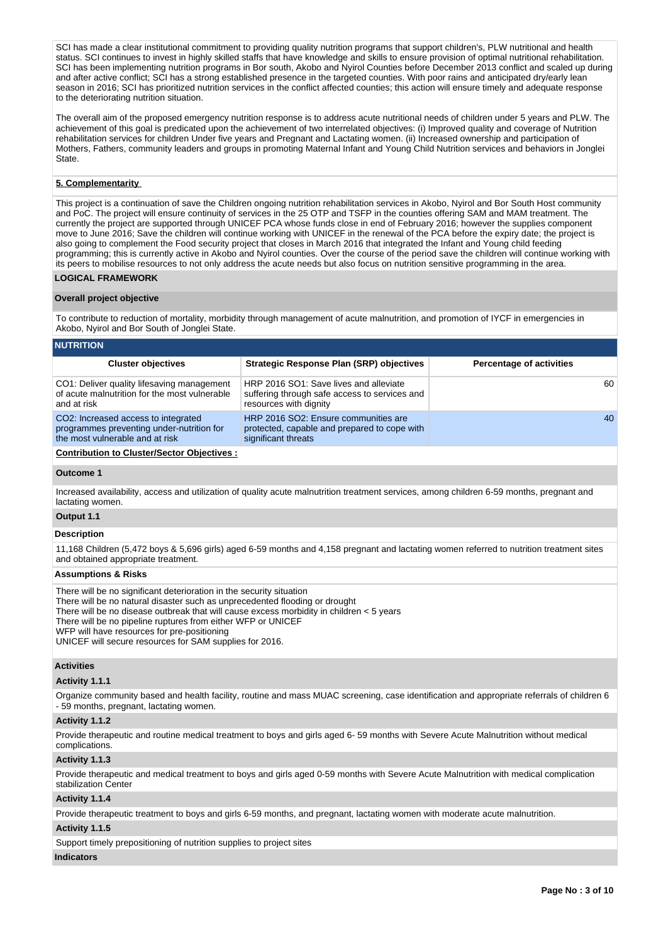SCI has made a clear institutional commitment to providing quality nutrition programs that support children's. PLW nutritional and health status. SCI continues to invest in highly skilled staffs that have knowledge and skills to ensure provision of optimal nutritional rehabilitation. SCI has been implementing nutrition programs in Bor south, Akobo and Nyirol Counties before December 2013 conflict and scaled up during and after active conflict; SCI has a strong established presence in the targeted counties. With poor rains and anticipated dry/early lean season in 2016; SCI has prioritized nutrition services in the conflict affected counties; this action will ensure timely and adequate response to the deteriorating nutrition situation.

The overall aim of the proposed emergency nutrition response is to address acute nutritional needs of children under 5 years and PLW. The achievement of this goal is predicated upon the achievement of two interrelated objectives: (i) Improved quality and coverage of Nutrition rehabilitation services for children Under five years and Pregnant and Lactating women. (ii) Increased ownership and participation of Mothers, Fathers, community leaders and groups in promoting Maternal Infant and Young Child Nutrition services and behaviors in Jonglei State.

## **5. Complementarity**

This project is a continuation of save the Children ongoing nutrition rehabilitation services in Akobo, Nyirol and Bor South Host community and PoC. The project will ensure continuity of services in the 25 OTP and TSFP in the counties offering SAM and MAM treatment. The currently the project are supported through UNICEF PCA whose funds close in end of February 2016; however the supplies component move to June 2016; Save the children will continue working with UNICEF in the renewal of the PCA before the expiry date; the project is also going to complement the Food security project that closes in March 2016 that integrated the Infant and Young child feeding programming; this is currently active in Akobo and Nyirol counties. Over the course of the period save the children will continue working with its peers to mobilise resources to not only address the acute needs but also focus on nutrition sensitive programming in the area.

## **LOGICAL FRAMEWORK**

### **Overall project objective**

To contribute to reduction of mortality, morbidity through management of acute malnutrition, and promotion of IYCF in emergencies in Akobo, Nyirol and Bor South of Jonglei State.

| <b>NUTRITION</b>                                                                                                    |                                                                                                                   |                                 |  |  |  |  |  |  |  |
|---------------------------------------------------------------------------------------------------------------------|-------------------------------------------------------------------------------------------------------------------|---------------------------------|--|--|--|--|--|--|--|
| <b>Cluster objectives</b>                                                                                           | Strategic Response Plan (SRP) objectives                                                                          | <b>Percentage of activities</b> |  |  |  |  |  |  |  |
| CO1: Deliver quality lifesaving management<br>of acute malnutrition for the most vulnerable<br>and at risk          | HRP 2016 SO1: Save lives and alleviate<br>suffering through safe access to services and<br>resources with dignity | 60                              |  |  |  |  |  |  |  |
| CO2: Increased access to integrated<br>programmes preventing under-nutrition for<br>the most vulnerable and at risk | HRP 2016 SO2: Ensure communities are<br>protected, capable and prepared to cope with<br>significant threats       | 40                              |  |  |  |  |  |  |  |
|                                                                                                                     |                                                                                                                   |                                 |  |  |  |  |  |  |  |

**Contribution to Cluster/Sector Objectives :**

#### **Outcome 1**

Increased availability, access and utilization of quality acute malnutrition treatment services, among children 6-59 months, pregnant and lactating women.

## **Output 1.1**

### **Description**

11,168 Children (5,472 boys & 5,696 girls) aged 6-59 months and 4,158 pregnant and lactating women referred to nutrition treatment sites and obtained appropriate treatment.

### **Assumptions & Risks**

There will be no significant deterioration in the security situation

- There will be no natural disaster such as unprecedented flooding or drought
- There will be no disease outbreak that will cause excess morbidity in children < 5 years

There will be no pipeline ruptures from either WFP or UNICEF

WFP will have resources for pre-positioning

UNICEF will secure resources for SAM supplies for 2016.

#### **Activities**

#### **Activity 1.1.1**

Organize community based and health facility, routine and mass MUAC screening, case identification and appropriate referrals of children 6 - 59 months, pregnant, lactating women.

#### **Activity 1.1.2**

Provide therapeutic and routine medical treatment to boys and girls aged 6- 59 months with Severe Acute Malnutrition without medical complications.

#### **Activity 1.1.3**

Provide therapeutic and medical treatment to boys and girls aged 0-59 months with Severe Acute Malnutrition with medical complication stabilization Center

#### **Activity 1.1.4**

Provide therapeutic treatment to boys and girls 6-59 months, and pregnant, lactating women with moderate acute malnutrition.

#### **Activity 1.1.5**

Support timely prepositioning of nutrition supplies to project sites

## **Indicators**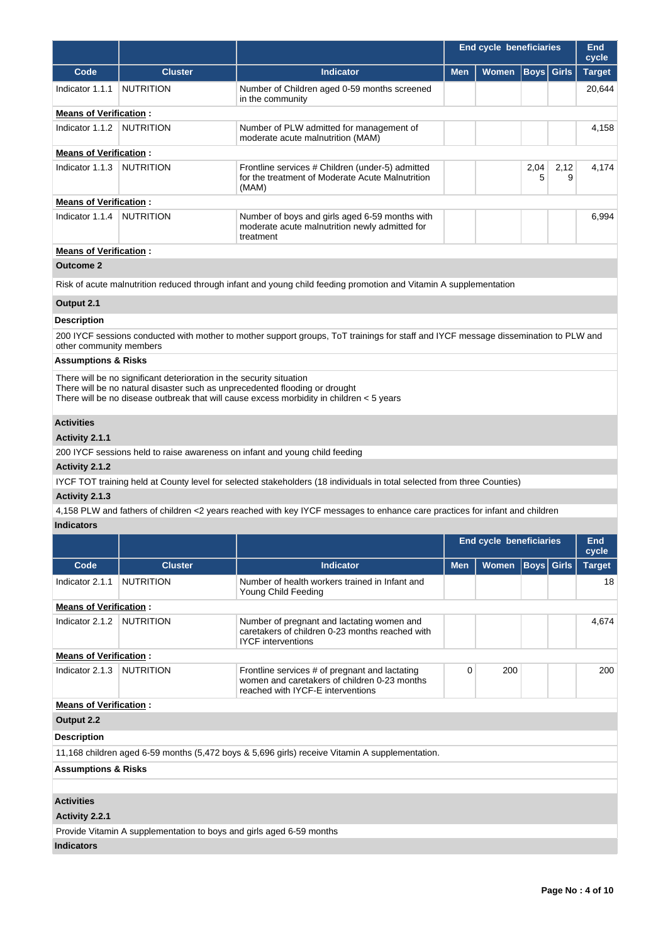|                                |                                                                      |                                                                                                                                                                           |            | <b>End cycle beneficiaries</b> |                   |                   | <b>End</b><br>cycle |
|--------------------------------|----------------------------------------------------------------------|---------------------------------------------------------------------------------------------------------------------------------------------------------------------------|------------|--------------------------------|-------------------|-------------------|---------------------|
| Code                           | <b>Cluster</b>                                                       | <b>Indicator</b>                                                                                                                                                          | <b>Men</b> | Women                          |                   | <b>Boys</b> Girls | <b>Target</b>       |
| Indicator 1.1.1                | <b>NUTRITION</b>                                                     | Number of Children aged 0-59 months screened<br>in the community                                                                                                          |            |                                |                   |                   | 20,644              |
| <b>Means of Verification:</b>  |                                                                      |                                                                                                                                                                           |            |                                |                   |                   |                     |
| Indicator 1.1.2                | <b>NUTRITION</b>                                                     | Number of PLW admitted for management of<br>moderate acute malnutrition (MAM)                                                                                             |            |                                |                   |                   | 4,158               |
| <b>Means of Verification:</b>  |                                                                      |                                                                                                                                                                           |            |                                |                   |                   |                     |
| Indicator 1.1.3                | <b>NUTRITION</b>                                                     | Frontline services # Children (under-5) admitted<br>for the treatment of Moderate Acute Malnutrition<br>(MAM)                                                             |            |                                | 2,04<br>5         | 2,12<br>9         | 4,174               |
| <b>Means of Verification:</b>  |                                                                      |                                                                                                                                                                           |            |                                |                   |                   |                     |
| Indicator 1.1.4                | <b>NUTRITION</b>                                                     | Number of boys and girls aged 6-59 months with<br>moderate acute malnutrition newly admitted for<br>treatment                                                             |            |                                |                   |                   | 6,994               |
| <b>Means of Verification:</b>  |                                                                      |                                                                                                                                                                           |            |                                |                   |                   |                     |
| <b>Outcome 2</b>               |                                                                      |                                                                                                                                                                           |            |                                |                   |                   |                     |
|                                |                                                                      | Risk of acute malnutrition reduced through infant and young child feeding promotion and Vitamin A supplementation                                                         |            |                                |                   |                   |                     |
| Output 2.1                     |                                                                      |                                                                                                                                                                           |            |                                |                   |                   |                     |
| <b>Description</b>             |                                                                      |                                                                                                                                                                           |            |                                |                   |                   |                     |
| other community members        |                                                                      | 200 IYCF sessions conducted with mother to mother support groups, ToT trainings for staff and IYCF message dissemination to PLW and                                       |            |                                |                   |                   |                     |
| <b>Assumptions &amp; Risks</b> |                                                                      |                                                                                                                                                                           |            |                                |                   |                   |                     |
|                                | There will be no significant deterioration in the security situation | There will be no natural disaster such as unprecedented flooding or drought<br>There will be no disease outbreak that will cause excess morbidity in children $<$ 5 years |            |                                |                   |                   |                     |
| <b>Activities</b>              |                                                                      |                                                                                                                                                                           |            |                                |                   |                   |                     |
| Activity 2.1.1                 |                                                                      |                                                                                                                                                                           |            |                                |                   |                   |                     |
|                                |                                                                      | 200 IYCF sessions held to raise awareness on infant and young child feeding                                                                                               |            |                                |                   |                   |                     |
| Activity 2.1.2                 |                                                                      |                                                                                                                                                                           |            |                                |                   |                   |                     |
|                                |                                                                      | IYCF TOT training held at County level for selected stakeholders (18 individuals in total selected from three Counties)                                                   |            |                                |                   |                   |                     |
| Activity 2.1.3                 |                                                                      |                                                                                                                                                                           |            |                                |                   |                   |                     |
| <b>Indicators</b>              |                                                                      | 4,158 PLW and fathers of children <2 years reached with key IYCF messages to enhance care practices for infant and children                                               |            |                                |                   |                   |                     |
|                                |                                                                      |                                                                                                                                                                           |            | End cycle beneficiaries        |                   |                   | End                 |
|                                |                                                                      |                                                                                                                                                                           |            |                                |                   |                   | cycle               |
| Code                           | <b>Cluster</b>                                                       | <b>Indicator</b>                                                                                                                                                          | <b>Men</b> | Women                          | <b>Boys</b> Girls |                   | <b>Target</b>       |
| Indicator 2.1.1                | <b>NUTRITION</b>                                                     | Number of health workers trained in Infant and<br>Young Child Feeding                                                                                                     |            |                                |                   |                   | 18                  |
| <b>Means of Verification:</b>  |                                                                      |                                                                                                                                                                           |            |                                |                   |                   |                     |
| Indicator 2.1.2                | <b>NUTRITION</b>                                                     | Number of pregnant and lactating women and<br>caretakers of children 0-23 months reached with<br><b>IYCF</b> interventions                                                |            |                                |                   |                   | 4,674               |
| <b>Means of Verification:</b>  |                                                                      |                                                                                                                                                                           |            |                                |                   |                   |                     |
| Indicator 2.1.3                | <b>NUTRITION</b>                                                     | Frontline services # of pregnant and lactating<br>women and caretakers of children 0-23 months<br>reached with IYCF-E interventions                                       | 0          | 200                            |                   |                   | 200                 |
| <b>Means of Verification:</b>  |                                                                      |                                                                                                                                                                           |            |                                |                   |                   |                     |
| Output 2.2                     |                                                                      |                                                                                                                                                                           |            |                                |                   |                   |                     |
| <b>Description</b>             |                                                                      |                                                                                                                                                                           |            |                                |                   |                   |                     |
|                                |                                                                      | 11,168 children aged 6-59 months (5,472 boys & 5,696 girls) receive Vitamin A supplementation.                                                                            |            |                                |                   |                   |                     |
| <b>Assumptions &amp; Risks</b> |                                                                      |                                                                                                                                                                           |            |                                |                   |                   |                     |
|                                |                                                                      |                                                                                                                                                                           |            |                                |                   |                   |                     |
| <b>Activities</b>              |                                                                      |                                                                                                                                                                           |            |                                |                   |                   |                     |
| Activity 2.2.1                 |                                                                      |                                                                                                                                                                           |            |                                |                   |                   |                     |
|                                | Provide Vitamin A supplementation to boys and girls aged 6-59 months |                                                                                                                                                                           |            |                                |                   |                   |                     |

**Indicators**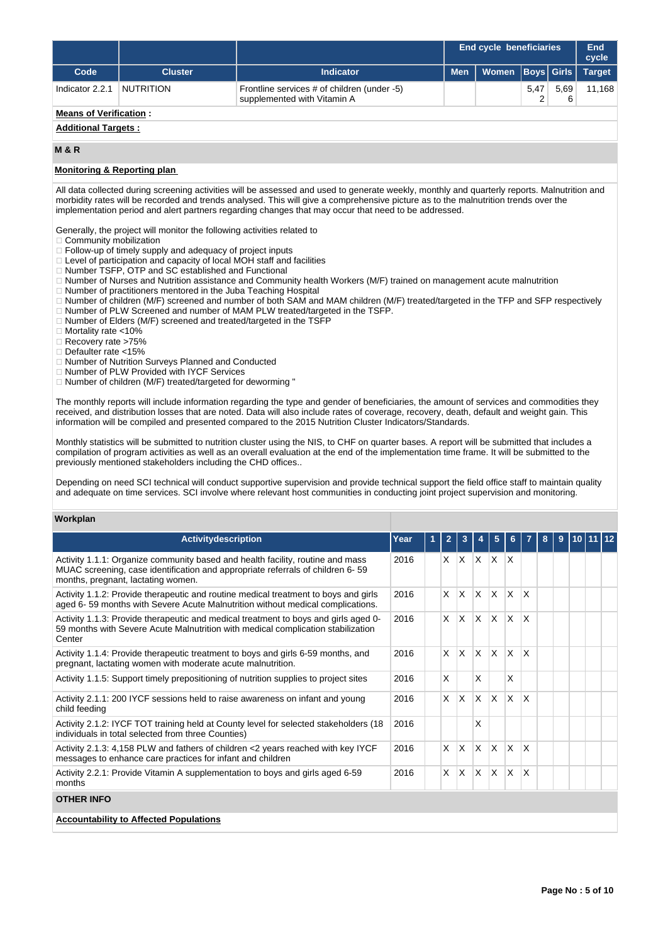|                               |                |                                                                            |            | <b>End cycle beneficiaries</b> |      |      |               |  |
|-------------------------------|----------------|----------------------------------------------------------------------------|------------|--------------------------------|------|------|---------------|--|
| Code                          | <b>Cluster</b> | <b>Indicator</b>                                                           | <b>Men</b> | Women   Boys   Girls   I       |      |      | <b>Target</b> |  |
| Indicator 2.2.1               | NUTRITION      | Frontline services # of children (under -5)<br>supplemented with Vitamin A |            |                                | 5,47 | 5.69 | 11,168        |  |
| <b>Means of Verification:</b> |                |                                                                            |            |                                |      |      |               |  |

## **Additional Targets :**

### **M & R**

## **Monitoring & Reporting plan**

All data collected during screening activities will be assessed and used to generate weekly, monthly and quarterly reports. Malnutrition and morbidity rates will be recorded and trends analysed. This will give a comprehensive picture as to the malnutrition trends over the implementation period and alert partners regarding changes that may occur that need to be addressed.

Generally, the project will monitor the following activities related to

- $\Box$  Community mobilization
- Follow-up of timely supply and adequacy of project inputs
- Level of participation and capacity of local MOH staff and facilities
- Number TSFP, OTP and SC established and Functional
- Number of Nurses and Nutrition assistance and Community health Workers (M/F) trained on management acute malnutrition
- □ Number of practitioners mentored in the Juba Teaching Hospital
- □ Number of children (M/F) screened and number of both SAM and MAM children (M/F) treated/targeted in the TFP and SFP respectively Number of PLW Screened and number of MAM PLW treated/targeted in the TSFP.
- Number of Elders (M/F) screened and treated/targeted in the TSFP
- □ Mortality rate <10%
- □ Recovery rate >75%
- 
- Defaulter rate <15%
- Number of Nutrition Surveys Planned and Conducted
- □ Number of PLW Provided with IYCF Services
- $\Box$  Number of children (M/F) treated/targeted for deworming "

The monthly reports will include information regarding the type and gender of beneficiaries, the amount of services and commodities they received, and distribution losses that are noted. Data will also include rates of coverage, recovery, death, default and weight gain. This information will be compiled and presented compared to the 2015 Nutrition Cluster Indicators/Standards.

Monthly statistics will be submitted to nutrition cluster using the NIS, to CHF on quarter bases. A report will be submitted that includes a compilation of program activities as well as an overall evaluation at the end of the implementation time frame. It will be submitted to the previously mentioned stakeholders including the CHD offices..

Depending on need SCI technical will conduct supportive supervision and provide technical support the field office staff to maintain quality and adequate on time services. SCI involve where relevant host communities in conducting joint project supervision and monitoring.

### **Workplan**

| <b>Activitydescription</b>                                                                                                                                                                             | Year | $\overline{2}$ | 3            |              | 5            | 6            |                         | 8 | 9 | 10 11 12 |  |
|--------------------------------------------------------------------------------------------------------------------------------------------------------------------------------------------------------|------|----------------|--------------|--------------|--------------|--------------|-------------------------|---|---|----------|--|
| Activity 1.1.1: Organize community based and health facility, routine and mass<br>MUAC screening, case identification and appropriate referrals of children 6-59<br>months, pregnant, lactating women. | 2016 | X              | $\mathsf{X}$ | $\mathsf{X}$ | X.           | ΙX.          |                         |   |   |          |  |
| Activity 1.1.2: Provide therapeutic and routine medical treatment to boys and girls<br>aged 6-59 months with Severe Acute Malnutrition without medical complications.                                  | 2016 | X              | ΙX.          | $\mathsf{X}$ | $\times$     | $\mathsf{x}$ | <sup>X</sup>            |   |   |          |  |
| Activity 1.1.3: Provide therapeutic and medical treatment to boys and girls aged 0-<br>59 months with Severe Acute Malnutrition with medical complication stabilization<br>Center                      | 2016 | X              | ΙX.          | $\mathsf{X}$ | $\times$     | X            | X                       |   |   |          |  |
| Activity 1.1.4: Provide therapeutic treatment to boys and girls 6-59 months, and<br>pregnant, lactating women with moderate acute malnutrition.                                                        | 2016 | X              | Ιx.          | ΙX.          | $\mathsf{x}$ | X            | $\overline{\mathsf{x}}$ |   |   |          |  |
| Activity 1.1.5: Support timely prepositioning of nutrition supplies to project sites                                                                                                                   | 2016 | X              |              | X            |              | X            |                         |   |   |          |  |
| Activity 2.1.1: 200 IYCF sessions held to raise awareness on infant and young<br>child feedina                                                                                                         | 2016 | X              | ΙX.          | $\times$     | $\mathsf{x}$ | X            | $\mathsf{X}$            |   |   |          |  |
| Activity 2.1.2: IYCF TOT training held at County level for selected stakeholders (18<br>individuals in total selected from three Counties)                                                             | 2016 |                |              | X            |              |              |                         |   |   |          |  |
| Activity 2.1.3: 4,158 PLW and fathers of children <2 years reached with key IYCF<br>messages to enhance care practices for infant and children                                                         | 2016 | $\times$       | ΙX.          | ΙX.          | $\mathsf{x}$ | $\times$     | X                       |   |   |          |  |
| Activity 2.2.1: Provide Vitamin A supplementation to boys and girls aged 6-59<br>months                                                                                                                | 2016 | $\times$       | ΙX.          | ΙX.          | $\mathsf{x}$ | $\times$     | X                       |   |   |          |  |
| <b>OTHER INFO</b>                                                                                                                                                                                      |      |                |              |              |              |              |                         |   |   |          |  |
| <b>Accountability to Affected Populations</b>                                                                                                                                                          |      |                |              |              |              |              |                         |   |   |          |  |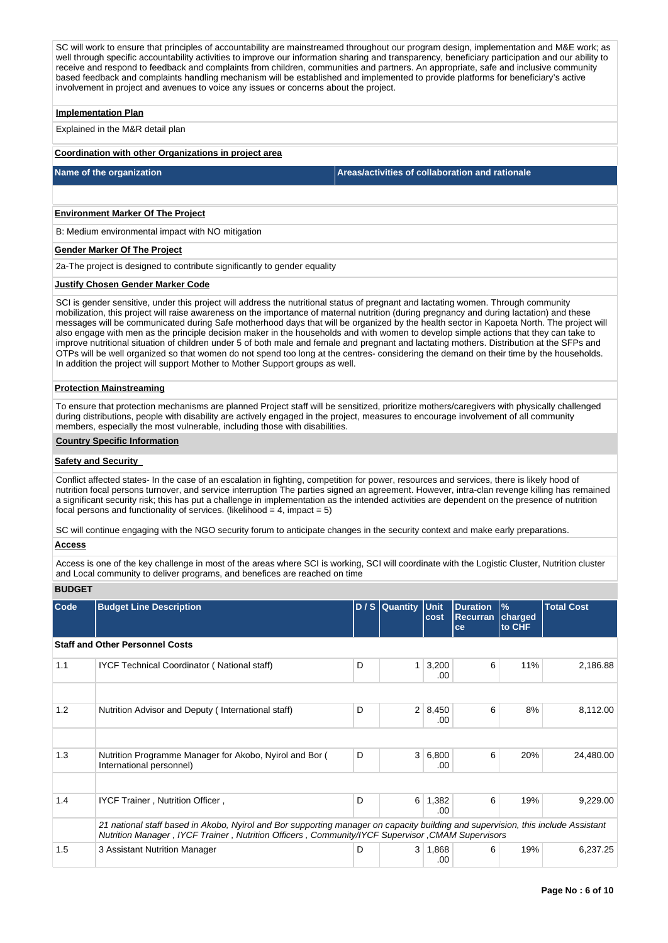SC will work to ensure that principles of accountability are mainstreamed throughout our program design, implementation and M&E work; as well through specific accountability activities to improve our information sharing and transparency, beneficiary participation and our ability to receive and respond to feedback and complaints from children, communities and partners. An appropriate, safe and inclusive community based feedback and complaints handling mechanism will be established and implemented to provide platforms for beneficiary's active involvement in project and avenues to voice any issues or concerns about the project.

#### **Implementation Plan**

Explained in the M&R detail plan

#### **Coordination with other Organizations in project area**

**Name of the organization Areas/activities of collaboration and rationale** 

## **Environment Marker Of The Project**

B: Medium environmental impact with NO mitigation

#### **Gender Marker Of The Project**

2a-The project is designed to contribute significantly to gender equality

### **Justify Chosen Gender Marker Code**

SCI is gender sensitive, under this project will address the nutritional status of pregnant and lactating women. Through community mobilization, this project will raise awareness on the importance of maternal nutrition (during pregnancy and during lactation) and these messages will be communicated during Safe motherhood days that will be organized by the health sector in Kapoeta North. The project will also engage with men as the principle decision maker in the households and with women to develop simple actions that they can take to improve nutritional situation of children under 5 of both male and female and pregnant and lactating mothers. Distribution at the SFPs and OTPs will be well organized so that women do not spend too long at the centres- considering the demand on their time by the households. In addition the project will support Mother to Mother Support groups as well.

### **Protection Mainstreaming**

To ensure that protection mechanisms are planned Project staff will be sensitized, prioritize mothers/caregivers with physically challenged during distributions, people with disability are actively engaged in the project, measures to encourage involvement of all community members, especially the most vulnerable, including those with disabilities.

### **Country Specific Information**

### **Safety and Security**

Conflict affected states- In the case of an escalation in fighting, competition for power, resources and services, there is likely hood of nutrition focal persons turnover, and service interruption The parties signed an agreement. However, intra-clan revenge killing has remained a significant security risk; this has put a challenge in implementation as the intended activities are dependent on the presence of nutrition focal persons and functionality of services. (likelihood  $= 4$ , impact = 5)

SC will continue engaging with the NGO security forum to anticipate changes in the security context and make early preparations.

## **Access**

Access is one of the key challenge in most of the areas where SCI is working, SCI will coordinate with the Logistic Cluster, Nutrition cluster and Local community to deliver programs, and benefices are reached on time

**BUDGET**

| <b>Code</b> | <b>Budget Line Description</b>                                                                                                                                                                                                       |   | D / S Quantity Unit | cost                  | <b>Duration</b><br><b>Recurran</b><br>ce | $\frac{9}{6}$<br>charged<br>to CHF | <b>Total Cost</b> |
|-------------|--------------------------------------------------------------------------------------------------------------------------------------------------------------------------------------------------------------------------------------|---|---------------------|-----------------------|------------------------------------------|------------------------------------|-------------------|
|             | <b>Staff and Other Personnel Costs</b>                                                                                                                                                                                               |   |                     |                       |                                          |                                    |                   |
| 1.1         | IYCF Technical Coordinator (National staff)                                                                                                                                                                                          | D | 1 <sup>1</sup>      | 3,200<br>.00          | 6                                        | 11%                                | 2,186.88          |
|             |                                                                                                                                                                                                                                      |   |                     |                       |                                          |                                    |                   |
| 1.2         | Nutrition Advisor and Deputy (International staff)                                                                                                                                                                                   | D |                     | $2 \mid 8,450$<br>.00 | 6                                        | 8%                                 | 8,112.00          |
|             |                                                                                                                                                                                                                                      |   |                     |                       |                                          |                                    |                   |
| 1.3         | Nutrition Programme Manager for Akobo, Nyirol and Bor (<br>International personnel)                                                                                                                                                  | D |                     | 3 6,800<br>.00        | 6                                        | 20%                                | 24,480.00         |
|             |                                                                                                                                                                                                                                      |   |                     |                       |                                          |                                    |                   |
| 1.4         | IYCF Trainer, Nutrition Officer,                                                                                                                                                                                                     | D |                     | $6 \mid 1,382$<br>.00 | 6                                        | 19%                                | 9,229.00          |
|             | 21 national staff based in Akobo, Nyirol and Bor supporting manager on capacity building and supervision, this include Assistant<br>Nutrition Manager, IYCF Trainer, Nutrition Officers, Community/IYCF Supervisor, CMAM Supervisors |   |                     |                       |                                          |                                    |                   |
| 1.5         | 3 Assistant Nutrition Manager                                                                                                                                                                                                        | D |                     | $3 \mid 1,868$<br>.00 | 6                                        | 19%                                | 6,237.25          |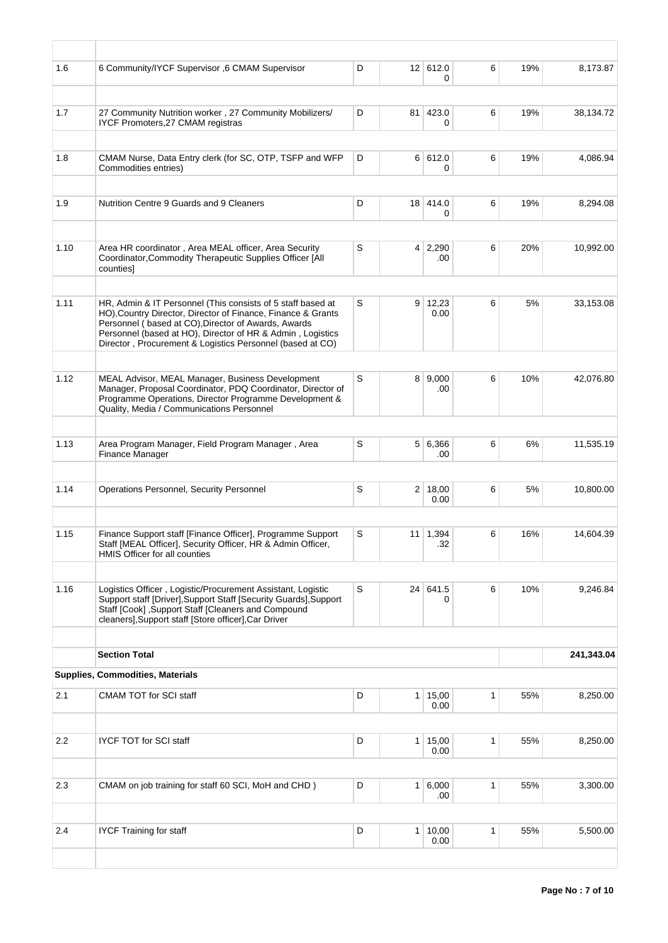| 1.6              | 6 Community/IYCF Supervisor ,6 CMAM Supervisor                                                                                                                                                                                                                                                                | D |                | 12 612.0<br>0          | 6            | 19% | 8,173.87   |
|------------------|---------------------------------------------------------------------------------------------------------------------------------------------------------------------------------------------------------------------------------------------------------------------------------------------------------------|---|----------------|------------------------|--------------|-----|------------|
|                  |                                                                                                                                                                                                                                                                                                               |   |                |                        |              |     |            |
| 1.7              | 27 Community Nutrition worker, 27 Community Mobilizers/<br>IYCF Promoters, 27 CMAM registras                                                                                                                                                                                                                  | D |                | 81 423.0<br>0          | 6            | 19% | 38,134.72  |
| 1.8              | CMAM Nurse, Data Entry clerk (for SC, OTP, TSFP and WFP                                                                                                                                                                                                                                                       | D |                | 6 612.0                | 6            | 19% | 4,086.94   |
|                  | Commodities entries)                                                                                                                                                                                                                                                                                          |   |                | 0                      |              |     |            |
|                  |                                                                                                                                                                                                                                                                                                               |   |                |                        |              |     |            |
| 1.9              | Nutrition Centre 9 Guards and 9 Cleaners                                                                                                                                                                                                                                                                      | D |                | 18 414.0<br>0          | 6            | 19% | 8,294.08   |
|                  |                                                                                                                                                                                                                                                                                                               |   |                |                        |              |     |            |
| 1.10             | Area HR coordinator, Area MEAL officer, Area Security<br>Coordinator, Commodity Therapeutic Supplies Officer [All<br>counties]                                                                                                                                                                                | S |                | $4 \mid 2,290$<br>.00  | 6            | 20% | 10,992.00  |
|                  |                                                                                                                                                                                                                                                                                                               |   |                |                        |              |     |            |
| 1.11             | HR, Admin & IT Personnel (This consists of 5 staff based at<br>HO), Country Director, Director of Finance, Finance & Grants<br>Personnel (based at CO), Director of Awards, Awards<br>Personnel (based at HO), Director of HR & Admin, Logistics<br>Director, Procurement & Logistics Personnel (based at CO) | S | 9              | 12,23<br>0.00          | 6            | 5%  | 33,153.08  |
|                  |                                                                                                                                                                                                                                                                                                               |   |                |                        |              |     |            |
| 1.12             | MEAL Advisor, MEAL Manager, Business Development<br>Manager, Proposal Coordinator, PDQ Coordinator, Director of<br>Programme Operations, Director Programme Development &<br>Quality, Media / Communications Personnel                                                                                        | S |                | 8   9,000<br>.00       | 6            | 10% | 42,076.80  |
|                  |                                                                                                                                                                                                                                                                                                               |   |                |                        |              |     |            |
| 1.13             | Area Program Manager, Field Program Manager, Area<br>Finance Manager                                                                                                                                                                                                                                          | S |                | 5 6,366<br>.00         | 6            | 6%  | 11,535.19  |
|                  |                                                                                                                                                                                                                                                                                                               |   |                |                        |              |     |            |
| 1.14             | Operations Personnel, Security Personnel                                                                                                                                                                                                                                                                      | S |                | 2 18,00<br>0.00        | 6            | 5%  | 10,800.00  |
|                  |                                                                                                                                                                                                                                                                                                               |   |                |                        |              |     |            |
| 1.15             | Finance Support staff [Finance Officer], Programme Support<br>Staff [MEAL Officer], Security Officer, HR & Admin Officer,<br>HMIS Officer for all counties                                                                                                                                                    | S |                | $11 \mid 1,394$<br>.32 | 6            | 16% | 14,604.39  |
|                  |                                                                                                                                                                                                                                                                                                               |   |                |                        |              |     |            |
| 1.16             | Logistics Officer, Logistic/Procurement Assistant, Logistic<br>Support staff [Driver], Support Staff [Security Guards], Support<br>Staff [Cook], Support Staff [Cleaners and Compound<br>cleaners], Support staff [Store officer], Car Driver                                                                 | S |                | 24 641.5<br>0          | 6            | 10% | 9,246.84   |
|                  | <b>Section Total</b>                                                                                                                                                                                                                                                                                          |   |                |                        |              |     | 241,343.04 |
|                  |                                                                                                                                                                                                                                                                                                               |   |                |                        |              |     |            |
|                  | <b>Supplies, Commodities, Materials</b>                                                                                                                                                                                                                                                                       |   |                |                        |              |     |            |
| 2.1              | CMAM TOT for SCI staff                                                                                                                                                                                                                                                                                        | D |                | $1 \mid 15,00$<br>0.00 | 1            | 55% | 8,250.00   |
|                  |                                                                                                                                                                                                                                                                                                               |   |                |                        |              |     |            |
| $2.2\phantom{0}$ | <b>IYCF TOT for SCI staff</b>                                                                                                                                                                                                                                                                                 | D | 1 <sup>1</sup> | 15,00<br>0.00          | $\mathbf{1}$ | 55% | 8,250.00   |
|                  |                                                                                                                                                                                                                                                                                                               |   |                |                        |              |     |            |
| 2.3              | CMAM on job training for staff 60 SCI, MoH and CHD)                                                                                                                                                                                                                                                           | D |                | $1 \ 6,000$<br>.00     | 1            | 55% | 3,300.00   |
|                  |                                                                                                                                                                                                                                                                                                               |   |                |                        |              |     |            |
| 2.4              | <b>IYCF Training for staff</b>                                                                                                                                                                                                                                                                                | D |                | 1 10,00<br>0.00        | 1            | 55% | 5,500.00   |
|                  |                                                                                                                                                                                                                                                                                                               |   |                |                        |              |     |            |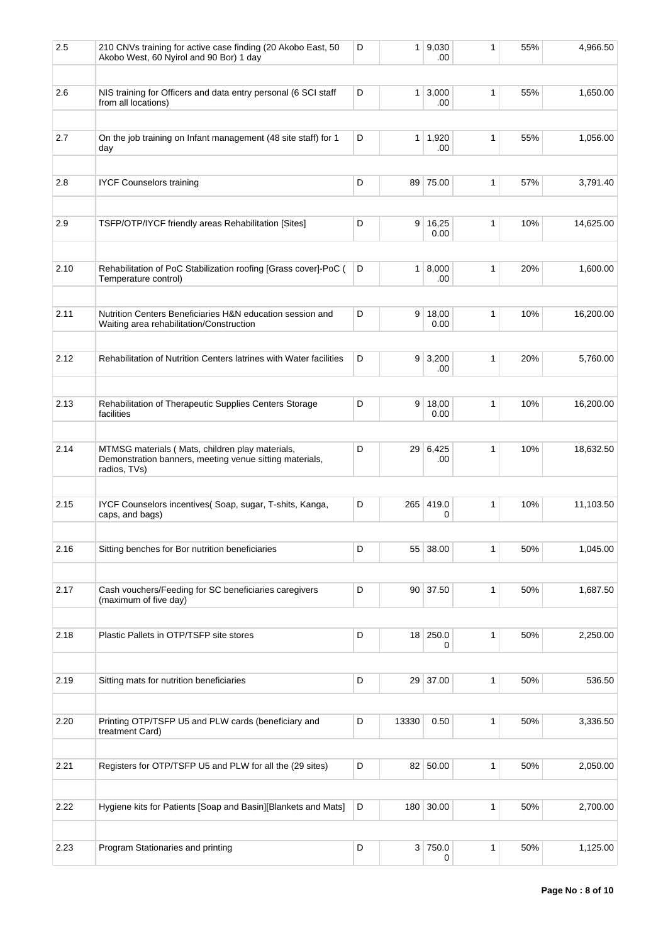| 2.5  | 210 CNVs training for active case finding (20 Akobo East, 50<br>Akobo West, 60 Nyirol and 90 Bor) 1 day                    | D |                | 1   9,030<br>.00    | 1 | 55% | 4,966.50  |
|------|----------------------------------------------------------------------------------------------------------------------------|---|----------------|---------------------|---|-----|-----------|
|      |                                                                                                                            |   |                |                     |   |     |           |
| 2.6  | NIS training for Officers and data entry personal (6 SCI staff<br>from all locations)                                      | D |                | $1 \, 3,000$<br>.00 | 1 | 55% | 1,650.00  |
| 2.7  |                                                                                                                            | D | 1 <sup>1</sup> | 1,920               | 1 | 55% | 1,056.00  |
|      | On the job training on Infant management (48 site staff) for 1<br>day                                                      |   |                | .00                 |   |     |           |
| 2.8  | <b>IYCF Counselors training</b>                                                                                            | D |                | 89 75.00            | 1 | 57% | 3,791.40  |
|      |                                                                                                                            |   |                |                     |   |     |           |
| 2.9  | TSFP/OTP/IYCF friendly areas Rehabilitation [Sites]                                                                        | D | 9              | 16,25<br>0.00       | 1 | 10% | 14,625.00 |
|      |                                                                                                                            |   |                |                     |   |     |           |
| 2.10 | Rehabilitation of PoC Stabilization roofing [Grass cover]-PoC (<br>Temperature control)                                    | D |                | $1 \, 8,000$<br>.00 | 1 | 20% | 1,600.00  |
|      |                                                                                                                            |   |                |                     |   |     |           |
| 2.11 | Nutrition Centers Beneficiaries H&N education session and<br>Waiting area rehabilitation/Construction                      | D |                | 9   18,00<br>0.00   | 1 | 10% | 16,200.00 |
| 2.12 | Rehabilitation of Nutrition Centers latrines with Water facilities                                                         | D |                | $9 \mid 3,200$      | 1 | 20% | 5.760.00  |
|      |                                                                                                                            |   |                | .00                 |   |     |           |
| 2.13 | Rehabilitation of Therapeutic Supplies Centers Storage<br>facilities                                                       | D | 9              | 18,00<br>0.00       | 1 | 10% | 16,200.00 |
|      |                                                                                                                            |   |                |                     |   |     |           |
| 2.14 | MTMSG materials (Mats, children play materials,<br>Demonstration banners, meeting venue sitting materials,<br>radios, TVs) | D |                | 29 6,425<br>.00     | 1 | 10% | 18,632.50 |
|      |                                                                                                                            |   |                |                     |   |     |           |
| 2.15 | IYCF Counselors incentives(Soap, sugar, T-shits, Kanga,<br>caps, and bags)                                                 | D |                | 265 419.0<br>0      | 1 | 10% | 11,103.50 |
| 2.16 | Sitting benches for Bor nutrition beneficiaries                                                                            | D |                | 55 38.00            | 1 | 50% | 1,045.00  |
|      |                                                                                                                            |   |                |                     |   |     |           |
| 2.17 | Cash vouchers/Feeding for SC beneficiaries caregivers<br>(maximum of five day)                                             | D |                | 90 37.50            | 1 | 50% | 1,687.50  |
| 2.18 | Plastic Pallets in OTP/TSFP site stores                                                                                    | D |                | 18 250.0            | 1 | 50% | 2,250.00  |
|      |                                                                                                                            |   |                | 0                   |   |     |           |
| 2.19 | Sitting mats for nutrition beneficiaries                                                                                   | D |                | 29 37.00            | 1 | 50% | 536.50    |
|      |                                                                                                                            |   |                |                     |   |     |           |
| 2.20 | Printing OTP/TSFP U5 and PLW cards (beneficiary and<br>treatment Card)                                                     | D | 13330          | 0.50                | 1 | 50% | 3,336.50  |
|      |                                                                                                                            |   |                |                     |   |     |           |
| 2.21 | Registers for OTP/TSFP U5 and PLW for all the (29 sites)                                                                   | D |                | 82 50.00            | 1 | 50% | 2,050.00  |
| 2.22 | Hygiene kits for Patients [Soap and Basin][Blankets and Mats]                                                              | D |                | 180 30.00           | 1 | 50% | 2,700.00  |
|      |                                                                                                                            |   |                |                     |   |     |           |
| 2.23 | Program Stationaries and printing                                                                                          | D |                | 3 750.0<br>0        | 1 | 50% | 1,125.00  |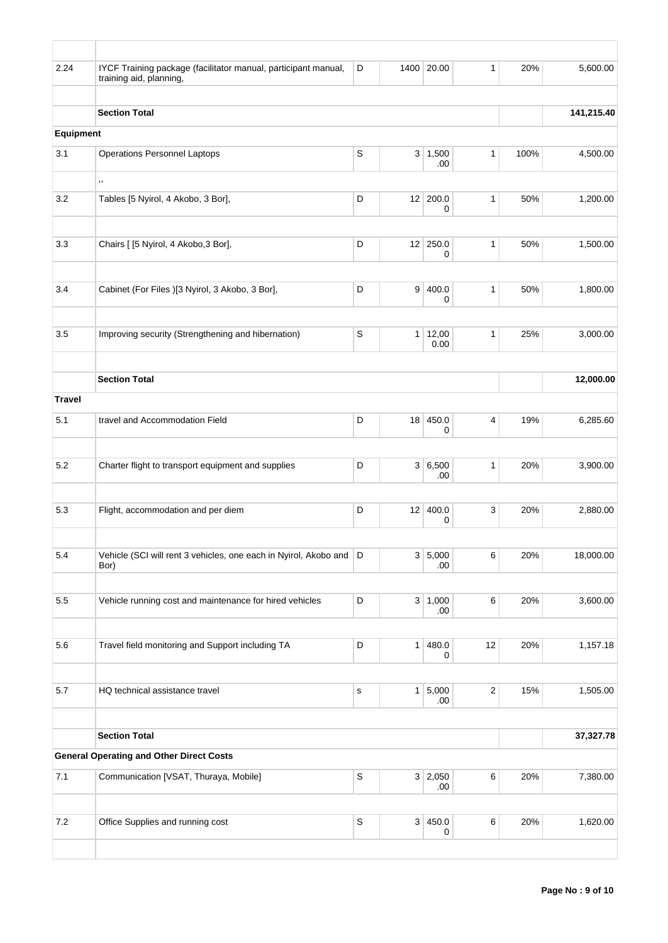| 2.24          | IYCF Training package (facilitator manual, participant manual,<br>training aid, planning, | D           |    | 1400 20.00       | $\mathbf{1}$ | 20%  | 5,600.00   |
|---------------|-------------------------------------------------------------------------------------------|-------------|----|------------------|--------------|------|------------|
|               |                                                                                           |             |    |                  |              |      |            |
| Equipment     | <b>Section Total</b>                                                                      |             |    |                  |              |      | 141,215.40 |
|               |                                                                                           |             |    |                  |              |      |            |
| 3.1           | <b>Operations Personnel Laptops</b>                                                       | $\mathsf S$ |    | 3   1,500<br>.00 | $\mathbf{1}$ | 100% | 4,500.00   |
|               | $\, , \,$                                                                                 |             |    |                  |              |      |            |
| 3.2           | Tables [5 Nyirol, 4 Akobo, 3 Bor],                                                        | D           |    | 12 200.0<br>0    | $\mathbf{1}$ | 50%  | 1,200.00   |
|               |                                                                                           |             |    |                  |              |      |            |
| 3.3           | Chairs [ [5 Nyirol, 4 Akobo, 3 Bor],                                                      | D           |    | 12 250.0<br>0    | $\mathbf{1}$ | 50%  | 1,500.00   |
| 3.4           | Cabinet (For Files )[3 Nyirol, 3 Akobo, 3 Bor],                                           | D           | 9  | 400.0            | 1            | 50%  | 1,800.00   |
|               |                                                                                           |             |    | 0                |              |      |            |
| 3.5           | Improving security (Strengthening and hibernation)                                        | S           |    | 1   12,00        | 1            | 25%  | 3,000.00   |
|               |                                                                                           |             |    | 0.00             |              |      |            |
|               | <b>Section Total</b>                                                                      |             |    |                  |              |      | 12,000.00  |
| <b>Travel</b> |                                                                                           |             |    |                  |              |      |            |
| 5.1           | travel and Accommodation Field                                                            | D           | 18 | 450.0<br>0       | 4            | 19%  | 6,285.60   |
|               |                                                                                           |             |    |                  |              |      |            |
| 5.2           | Charter flight to transport equipment and supplies                                        | D           |    | 3 6,500<br>.00   | 1            | 20%  | 3,900.00   |
| 5.3           | Flight, accommodation and per diem                                                        | D           | 12 | 400.0            | 3            | 20%  | 2,880.00   |
|               |                                                                                           |             |    | 0                |              |      |            |
| 5.4           | Vehicle (SCI will rent 3 vehicles, one each in Nyirol, Akobo and D                        |             |    | 3 5,000          | 6            | 20%  | 18,000.00  |
|               | Bor)                                                                                      |             |    | .00              |              |      |            |
| $5.5\,$       | Vehicle running cost and maintenance for hired vehicles                                   | D           |    | 3   1,000        | 6            | 20%  | 3,600.00   |
|               |                                                                                           |             |    | .00.             |              |      |            |
| 5.6           | Travel field monitoring and Support including TA                                          | D           | 1  | 480.0<br>0       | 12           | 20%  | 1,157.18   |
|               |                                                                                           |             |    |                  |              |      |            |
| 5.7           | HQ technical assistance travel                                                            | $\mathbf S$ |    | 1 5,000<br>.00   | $\sqrt{2}$   | 15%  | 1,505.00   |
|               |                                                                                           |             |    |                  |              |      |            |
|               | <b>Section Total</b><br><b>General Operating and Other Direct Costs</b>                   |             |    |                  |              |      | 37,327.78  |
| 7.1           | Communication [VSAT, Thuraya, Mobile]                                                     | $\mathbb S$ |    | 3 2,050          | 6            | 20%  | 7,380.00   |
|               |                                                                                           |             |    | .00.             |              |      |            |
| 7.2           | Office Supplies and running cost                                                          | $\mathsf S$ |    | 3   450.0        | 6            | 20%  | 1,620.00   |
|               |                                                                                           |             |    | 0                |              |      |            |
|               |                                                                                           |             |    |                  |              |      |            |